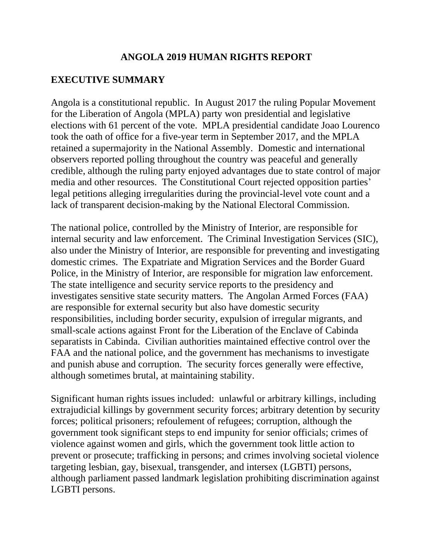### **ANGOLA 2019 HUMAN RIGHTS REPORT**

### **EXECUTIVE SUMMARY**

Angola is a constitutional republic. In August 2017 the ruling Popular Movement for the Liberation of Angola (MPLA) party won presidential and legislative elections with 61 percent of the vote. MPLA presidential candidate Joao Lourenco took the oath of office for a five-year term in September 2017, and the MPLA retained a supermajority in the National Assembly. Domestic and international observers reported polling throughout the country was peaceful and generally credible, although the ruling party enjoyed advantages due to state control of major media and other resources. The Constitutional Court rejected opposition parties' legal petitions alleging irregularities during the provincial-level vote count and a lack of transparent decision-making by the National Electoral Commission.

The national police, controlled by the Ministry of Interior, are responsible for internal security and law enforcement. The Criminal Investigation Services (SIC), also under the Ministry of Interior, are responsible for preventing and investigating domestic crimes. The Expatriate and Migration Services and the Border Guard Police, in the Ministry of Interior, are responsible for migration law enforcement. The state intelligence and security service reports to the presidency and investigates sensitive state security matters. The Angolan Armed Forces (FAA) are responsible for external security but also have domestic security responsibilities, including border security, expulsion of irregular migrants, and small-scale actions against Front for the Liberation of the Enclave of Cabinda separatists in Cabinda. Civilian authorities maintained effective control over the FAA and the national police, and the government has mechanisms to investigate and punish abuse and corruption. The security forces generally were effective, although sometimes brutal, at maintaining stability.

Significant human rights issues included: unlawful or arbitrary killings, including extrajudicial killings by government security forces; arbitrary detention by security forces; political prisoners; refoulement of refugees; corruption, although the government took significant steps to end impunity for senior officials; crimes of violence against women and girls, which the government took little action to prevent or prosecute; trafficking in persons; and crimes involving societal violence targeting lesbian, gay, bisexual, transgender, and intersex (LGBTI) persons, although parliament passed landmark legislation prohibiting discrimination against LGBTI persons.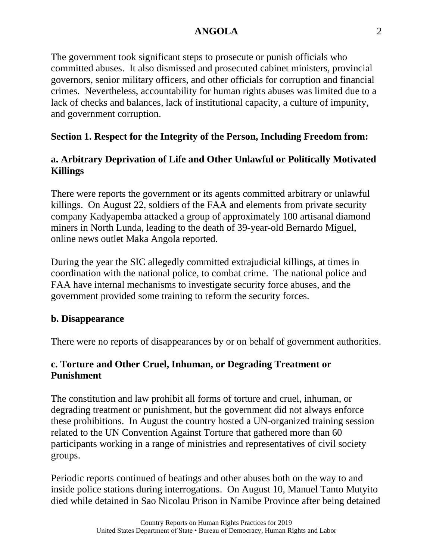The government took significant steps to prosecute or punish officials who committed abuses. It also dismissed and prosecuted cabinet ministers, provincial governors, senior military officers, and other officials for corruption and financial crimes. Nevertheless, accountability for human rights abuses was limited due to a lack of checks and balances, lack of institutional capacity, a culture of impunity, and government corruption.

# **Section 1. Respect for the Integrity of the Person, Including Freedom from:**

# **a. Arbitrary Deprivation of Life and Other Unlawful or Politically Motivated Killings**

There were reports the government or its agents committed arbitrary or unlawful killings. On August 22, soldiers of the FAA and elements from private security company Kadyapemba attacked a group of approximately 100 artisanal diamond miners in North Lunda, leading to the death of 39-year-old Bernardo Miguel, online news outlet Maka Angola reported.

During the year the SIC allegedly committed extrajudicial killings, at times in coordination with the national police, to combat crime. The national police and FAA have internal mechanisms to investigate security force abuses, and the government provided some training to reform the security forces.

### **b. Disappearance**

There were no reports of disappearances by or on behalf of government authorities.

# **c. Torture and Other Cruel, Inhuman, or Degrading Treatment or Punishment**

The constitution and law prohibit all forms of torture and cruel, inhuman, or degrading treatment or punishment, but the government did not always enforce these prohibitions. In August the country hosted a UN-organized training session related to the UN Convention Against Torture that gathered more than 60 participants working in a range of ministries and representatives of civil society groups.

Periodic reports continued of beatings and other abuses both on the way to and inside police stations during interrogations. On August 10, Manuel Tanto Mutyito died while detained in Sao Nicolau Prison in Namibe Province after being detained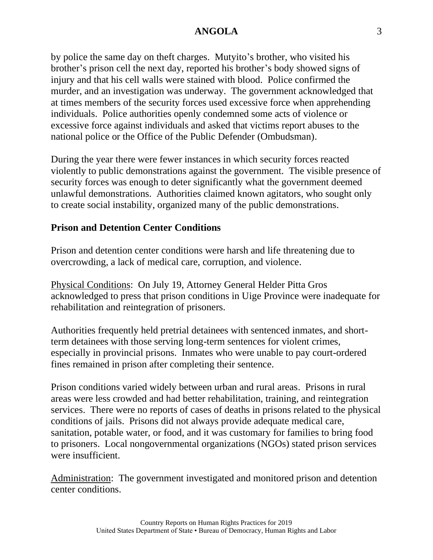by police the same day on theft charges. Mutyito's brother, who visited his brother's prison cell the next day, reported his brother's body showed signs of injury and that his cell walls were stained with blood. Police confirmed the murder, and an investigation was underway. The government acknowledged that at times members of the security forces used excessive force when apprehending individuals. Police authorities openly condemned some acts of violence or excessive force against individuals and asked that victims report abuses to the national police or the Office of the Public Defender (Ombudsman).

During the year there were fewer instances in which security forces reacted violently to public demonstrations against the government. The visible presence of security forces was enough to deter significantly what the government deemed unlawful demonstrations. Authorities claimed known agitators, who sought only to create social instability, organized many of the public demonstrations.

#### **Prison and Detention Center Conditions**

Prison and detention center conditions were harsh and life threatening due to overcrowding, a lack of medical care, corruption, and violence.

Physical Conditions: On July 19, Attorney General Helder Pitta Gros acknowledged to press that prison conditions in Uige Province were inadequate for rehabilitation and reintegration of prisoners.

Authorities frequently held pretrial detainees with sentenced inmates, and shortterm detainees with those serving long-term sentences for violent crimes, especially in provincial prisons. Inmates who were unable to pay court-ordered fines remained in prison after completing their sentence.

Prison conditions varied widely between urban and rural areas. Prisons in rural areas were less crowded and had better rehabilitation, training, and reintegration services. There were no reports of cases of deaths in prisons related to the physical conditions of jails. Prisons did not always provide adequate medical care, sanitation, potable water, or food, and it was customary for families to bring food to prisoners. Local nongovernmental organizations (NGOs) stated prison services were insufficient.

Administration: The government investigated and monitored prison and detention center conditions.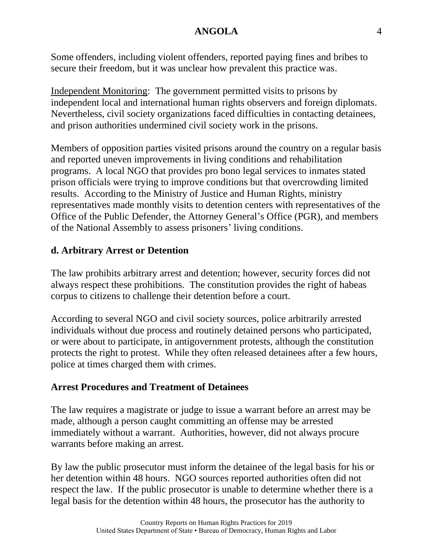Some offenders, including violent offenders, reported paying fines and bribes to secure their freedom, but it was unclear how prevalent this practice was.

Independent Monitoring: The government permitted visits to prisons by independent local and international human rights observers and foreign diplomats. Nevertheless, civil society organizations faced difficulties in contacting detainees, and prison authorities undermined civil society work in the prisons.

Members of opposition parties visited prisons around the country on a regular basis and reported uneven improvements in living conditions and rehabilitation programs. A local NGO that provides pro bono legal services to inmates stated prison officials were trying to improve conditions but that overcrowding limited results. According to the Ministry of Justice and Human Rights, ministry representatives made monthly visits to detention centers with representatives of the Office of the Public Defender, the Attorney General's Office (PGR), and members of the National Assembly to assess prisoners' living conditions.

# **d. Arbitrary Arrest or Detention**

The law prohibits arbitrary arrest and detention; however, security forces did not always respect these prohibitions. The constitution provides the right of habeas corpus to citizens to challenge their detention before a court.

According to several NGO and civil society sources, police arbitrarily arrested individuals without due process and routinely detained persons who participated, or were about to participate, in antigovernment protests, although the constitution protects the right to protest. While they often released detainees after a few hours, police at times charged them with crimes.

### **Arrest Procedures and Treatment of Detainees**

The law requires a magistrate or judge to issue a warrant before an arrest may be made, although a person caught committing an offense may be arrested immediately without a warrant. Authorities, however, did not always procure warrants before making an arrest.

By law the public prosecutor must inform the detainee of the legal basis for his or her detention within 48 hours. NGO sources reported authorities often did not respect the law. If the public prosecutor is unable to determine whether there is a legal basis for the detention within 48 hours, the prosecutor has the authority to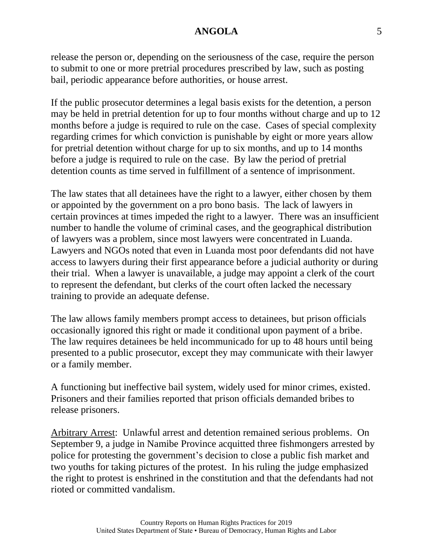release the person or, depending on the seriousness of the case, require the person to submit to one or more pretrial procedures prescribed by law, such as posting bail, periodic appearance before authorities, or house arrest.

If the public prosecutor determines a legal basis exists for the detention, a person may be held in pretrial detention for up to four months without charge and up to 12 months before a judge is required to rule on the case. Cases of special complexity regarding crimes for which conviction is punishable by eight or more years allow for pretrial detention without charge for up to six months, and up to 14 months before a judge is required to rule on the case. By law the period of pretrial detention counts as time served in fulfillment of a sentence of imprisonment.

The law states that all detainees have the right to a lawyer, either chosen by them or appointed by the government on a pro bono basis. The lack of lawyers in certain provinces at times impeded the right to a lawyer. There was an insufficient number to handle the volume of criminal cases, and the geographical distribution of lawyers was a problem, since most lawyers were concentrated in Luanda. Lawyers and NGOs noted that even in Luanda most poor defendants did not have access to lawyers during their first appearance before a judicial authority or during their trial. When a lawyer is unavailable, a judge may appoint a clerk of the court to represent the defendant, but clerks of the court often lacked the necessary training to provide an adequate defense.

The law allows family members prompt access to detainees, but prison officials occasionally ignored this right or made it conditional upon payment of a bribe. The law requires detainees be held incommunicado for up to 48 hours until being presented to a public prosecutor, except they may communicate with their lawyer or a family member.

A functioning but ineffective bail system, widely used for minor crimes, existed. Prisoners and their families reported that prison officials demanded bribes to release prisoners.

Arbitrary Arrest: Unlawful arrest and detention remained serious problems. On September 9, a judge in Namibe Province acquitted three fishmongers arrested by police for protesting the government's decision to close a public fish market and two youths for taking pictures of the protest. In his ruling the judge emphasized the right to protest is enshrined in the constitution and that the defendants had not rioted or committed vandalism.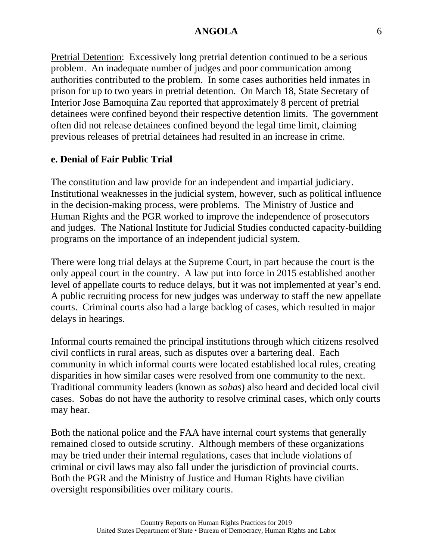Pretrial Detention: Excessively long pretrial detention continued to be a serious problem. An inadequate number of judges and poor communication among authorities contributed to the problem. In some cases authorities held inmates in prison for up to two years in pretrial detention. On March 18, State Secretary of Interior Jose Bamoquina Zau reported that approximately 8 percent of pretrial detainees were confined beyond their respective detention limits. The government often did not release detainees confined beyond the legal time limit, claiming previous releases of pretrial detainees had resulted in an increase in crime.

#### **e. Denial of Fair Public Trial**

The constitution and law provide for an independent and impartial judiciary. Institutional weaknesses in the judicial system, however, such as political influence in the decision-making process, were problems. The Ministry of Justice and Human Rights and the PGR worked to improve the independence of prosecutors and judges. The National Institute for Judicial Studies conducted capacity-building programs on the importance of an independent judicial system.

There were long trial delays at the Supreme Court, in part because the court is the only appeal court in the country. A law put into force in 2015 established another level of appellate courts to reduce delays, but it was not implemented at year's end. A public recruiting process for new judges was underway to staff the new appellate courts. Criminal courts also had a large backlog of cases, which resulted in major delays in hearings.

Informal courts remained the principal institutions through which citizens resolved civil conflicts in rural areas, such as disputes over a bartering deal. Each community in which informal courts were located established local rules, creating disparities in how similar cases were resolved from one community to the next. Traditional community leaders (known as *sobas*) also heard and decided local civil cases. Sobas do not have the authority to resolve criminal cases, which only courts may hear.

Both the national police and the FAA have internal court systems that generally remained closed to outside scrutiny. Although members of these organizations may be tried under their internal regulations, cases that include violations of criminal or civil laws may also fall under the jurisdiction of provincial courts. Both the PGR and the Ministry of Justice and Human Rights have civilian oversight responsibilities over military courts.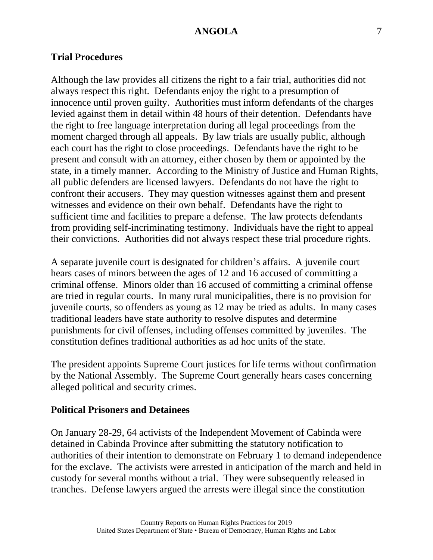#### **Trial Procedures**

Although the law provides all citizens the right to a fair trial, authorities did not always respect this right. Defendants enjoy the right to a presumption of innocence until proven guilty. Authorities must inform defendants of the charges levied against them in detail within 48 hours of their detention. Defendants have the right to free language interpretation during all legal proceedings from the moment charged through all appeals. By law trials are usually public, although each court has the right to close proceedings. Defendants have the right to be present and consult with an attorney, either chosen by them or appointed by the state, in a timely manner. According to the Ministry of Justice and Human Rights, all public defenders are licensed lawyers. Defendants do not have the right to confront their accusers. They may question witnesses against them and present witnesses and evidence on their own behalf. Defendants have the right to sufficient time and facilities to prepare a defense. The law protects defendants from providing self-incriminating testimony. Individuals have the right to appeal their convictions. Authorities did not always respect these trial procedure rights.

A separate juvenile court is designated for children's affairs. A juvenile court hears cases of minors between the ages of 12 and 16 accused of committing a criminal offense. Minors older than 16 accused of committing a criminal offense are tried in regular courts. In many rural municipalities, there is no provision for juvenile courts, so offenders as young as 12 may be tried as adults. In many cases traditional leaders have state authority to resolve disputes and determine punishments for civil offenses, including offenses committed by juveniles. The constitution defines traditional authorities as ad hoc units of the state.

The president appoints Supreme Court justices for life terms without confirmation by the National Assembly. The Supreme Court generally hears cases concerning alleged political and security crimes.

#### **Political Prisoners and Detainees**

On January 28-29, 64 activists of the Independent Movement of Cabinda were detained in Cabinda Province after submitting the statutory notification to authorities of their intention to demonstrate on February 1 to demand independence for the exclave. The activists were arrested in anticipation of the march and held in custody for several months without a trial. They were subsequently released in tranches. Defense lawyers argued the arrests were illegal since the constitution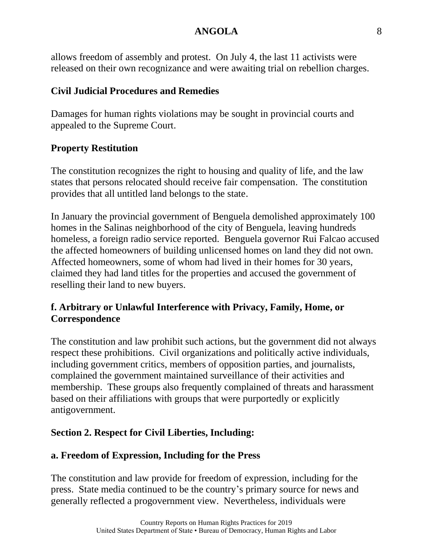allows freedom of assembly and protest. On July 4, the last 11 activists were released on their own recognizance and were awaiting trial on rebellion charges.

## **Civil Judicial Procedures and Remedies**

Damages for human rights violations may be sought in provincial courts and appealed to the Supreme Court.

# **Property Restitution**

The constitution recognizes the right to housing and quality of life, and the law states that persons relocated should receive fair compensation. The constitution provides that all untitled land belongs to the state.

In January the provincial government of Benguela demolished approximately 100 homes in the Salinas neighborhood of the city of Benguela, leaving hundreds homeless, a foreign radio service reported. Benguela governor Rui Falcao accused the affected homeowners of building unlicensed homes on land they did not own. Affected homeowners, some of whom had lived in their homes for 30 years, claimed they had land titles for the properties and accused the government of reselling their land to new buyers.

# **f. Arbitrary or Unlawful Interference with Privacy, Family, Home, or Correspondence**

The constitution and law prohibit such actions, but the government did not always respect these prohibitions. Civil organizations and politically active individuals, including government critics, members of opposition parties, and journalists, complained the government maintained surveillance of their activities and membership. These groups also frequently complained of threats and harassment based on their affiliations with groups that were purportedly or explicitly antigovernment.

# **Section 2. Respect for Civil Liberties, Including:**

# **a. Freedom of Expression, Including for the Press**

The constitution and law provide for freedom of expression, including for the press. State media continued to be the country's primary source for news and generally reflected a progovernment view. Nevertheless, individuals were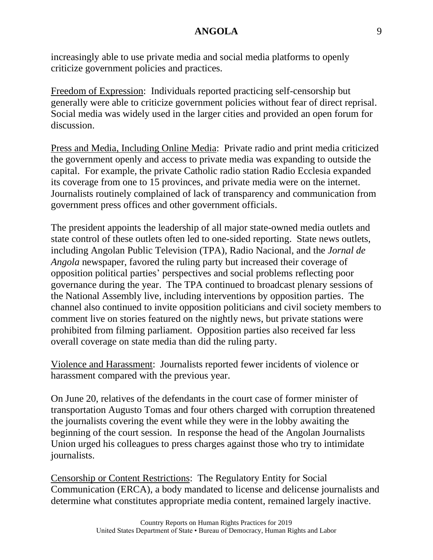increasingly able to use private media and social media platforms to openly criticize government policies and practices.

Freedom of Expression: Individuals reported practicing self-censorship but generally were able to criticize government policies without fear of direct reprisal. Social media was widely used in the larger cities and provided an open forum for discussion.

Press and Media, Including Online Media: Private radio and print media criticized the government openly and access to private media was expanding to outside the capital. For example, the private Catholic radio station Radio Ecclesia expanded its coverage from one to 15 provinces, and private media were on the internet. Journalists routinely complained of lack of transparency and communication from government press offices and other government officials.

The president appoints the leadership of all major state-owned media outlets and state control of these outlets often led to one-sided reporting. State news outlets, including Angolan Public Television (TPA), Radio Nacional, and the *Jornal de Angola* newspaper, favored the ruling party but increased their coverage of opposition political parties' perspectives and social problems reflecting poor governance during the year. The TPA continued to broadcast plenary sessions of the National Assembly live, including interventions by opposition parties. The channel also continued to invite opposition politicians and civil society members to comment live on stories featured on the nightly news, but private stations were prohibited from filming parliament. Opposition parties also received far less overall coverage on state media than did the ruling party.

Violence and Harassment: Journalists reported fewer incidents of violence or harassment compared with the previous year.

On June 20, relatives of the defendants in the court case of former minister of transportation Augusto Tomas and four others charged with corruption threatened the journalists covering the event while they were in the lobby awaiting the beginning of the court session. In response the head of the Angolan Journalists Union urged his colleagues to press charges against those who try to intimidate journalists.

Censorship or Content Restrictions: The Regulatory Entity for Social Communication (ERCA), a body mandated to license and delicense journalists and determine what constitutes appropriate media content, remained largely inactive.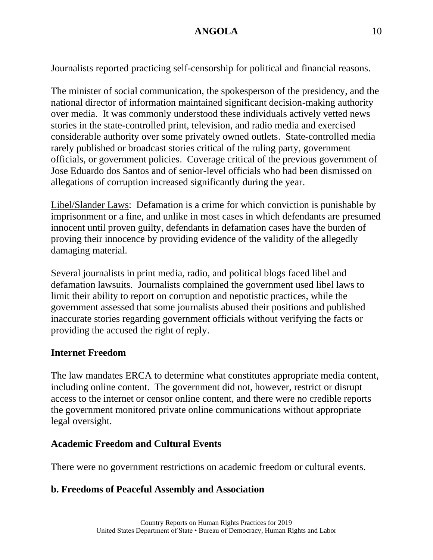Journalists reported practicing self-censorship for political and financial reasons.

The minister of social communication, the spokesperson of the presidency, and the national director of information maintained significant decision-making authority over media. It was commonly understood these individuals actively vetted news stories in the state-controlled print, television, and radio media and exercised considerable authority over some privately owned outlets. State-controlled media rarely published or broadcast stories critical of the ruling party, government officials, or government policies. Coverage critical of the previous government of Jose Eduardo dos Santos and of senior-level officials who had been dismissed on allegations of corruption increased significantly during the year.

Libel/Slander Laws: Defamation is a crime for which conviction is punishable by imprisonment or a fine, and unlike in most cases in which defendants are presumed innocent until proven guilty, defendants in defamation cases have the burden of proving their innocence by providing evidence of the validity of the allegedly damaging material.

Several journalists in print media, radio, and political blogs faced libel and defamation lawsuits. Journalists complained the government used libel laws to limit their ability to report on corruption and nepotistic practices, while the government assessed that some journalists abused their positions and published inaccurate stories regarding government officials without verifying the facts or providing the accused the right of reply.

# **Internet Freedom**

The law mandates ERCA to determine what constitutes appropriate media content, including online content. The government did not, however, restrict or disrupt access to the internet or censor online content, and there were no credible reports the government monitored private online communications without appropriate legal oversight.

# **Academic Freedom and Cultural Events**

There were no government restrictions on academic freedom or cultural events.

# **b. Freedoms of Peaceful Assembly and Association**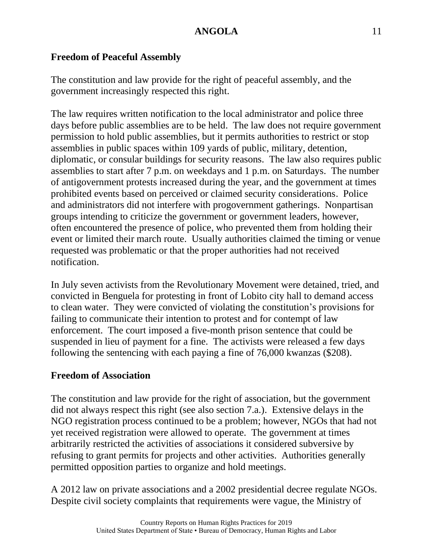# **Freedom of Peaceful Assembly**

The constitution and law provide for the right of peaceful assembly, and the government increasingly respected this right.

The law requires written notification to the local administrator and police three days before public assemblies are to be held. The law does not require government permission to hold public assemblies, but it permits authorities to restrict or stop assemblies in public spaces within 109 yards of public, military, detention, diplomatic, or consular buildings for security reasons. The law also requires public assemblies to start after 7 p.m. on weekdays and 1 p.m. on Saturdays. The number of antigovernment protests increased during the year, and the government at times prohibited events based on perceived or claimed security considerations. Police and administrators did not interfere with progovernment gatherings. Nonpartisan groups intending to criticize the government or government leaders, however, often encountered the presence of police, who prevented them from holding their event or limited their march route. Usually authorities claimed the timing or venue requested was problematic or that the proper authorities had not received notification.

In July seven activists from the Revolutionary Movement were detained, tried, and convicted in Benguela for protesting in front of Lobito city hall to demand access to clean water. They were convicted of violating the constitution's provisions for failing to communicate their intention to protest and for contempt of law enforcement. The court imposed a five-month prison sentence that could be suspended in lieu of payment for a fine. The activists were released a few days following the sentencing with each paying a fine of 76,000 kwanzas (\$208).

### **Freedom of Association**

The constitution and law provide for the right of association, but the government did not always respect this right (see also section 7.a.). Extensive delays in the NGO registration process continued to be a problem; however, NGOs that had not yet received registration were allowed to operate. The government at times arbitrarily restricted the activities of associations it considered subversive by refusing to grant permits for projects and other activities. Authorities generally permitted opposition parties to organize and hold meetings.

A 2012 law on private associations and a 2002 presidential decree regulate NGOs. Despite civil society complaints that requirements were vague, the Ministry of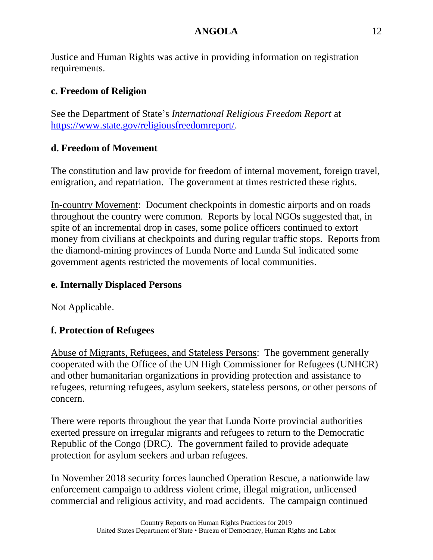Justice and Human Rights was active in providing information on registration requirements.

# **c. Freedom of Religion**

See the Department of State's *International Religious Freedom Report* at [https://www.state.gov/religiousfreedomreport/.](https://www.state.gov/religiousfreedomreport/)

# **d. Freedom of Movement**

The constitution and law provide for freedom of internal movement, foreign travel, emigration, and repatriation. The government at times restricted these rights.

In-country Movement: Document checkpoints in domestic airports and on roads throughout the country were common. Reports by local NGOs suggested that, in spite of an incremental drop in cases, some police officers continued to extort money from civilians at checkpoints and during regular traffic stops. Reports from the diamond-mining provinces of Lunda Norte and Lunda Sul indicated some government agents restricted the movements of local communities.

# **e. Internally Displaced Persons**

Not Applicable.

# **f. Protection of Refugees**

Abuse of Migrants, Refugees, and Stateless Persons: The government generally cooperated with the Office of the UN High Commissioner for Refugees (UNHCR) and other humanitarian organizations in providing protection and assistance to refugees, returning refugees, asylum seekers, stateless persons, or other persons of concern.

There were reports throughout the year that Lunda Norte provincial authorities exerted pressure on irregular migrants and refugees to return to the Democratic Republic of the Congo (DRC). The government failed to provide adequate protection for asylum seekers and urban refugees.

In November 2018 security forces launched Operation Rescue, a nationwide law enforcement campaign to address violent crime, illegal migration, unlicensed commercial and religious activity, and road accidents. The campaign continued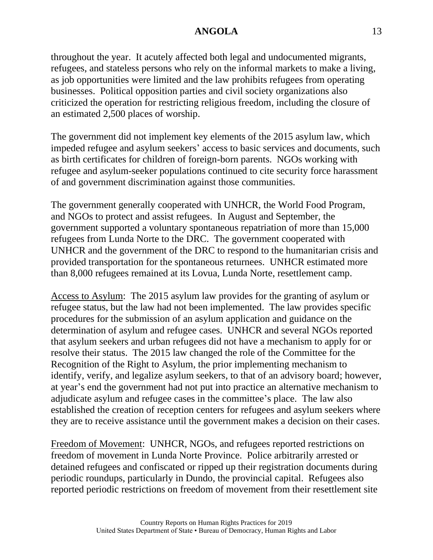throughout the year. It acutely affected both legal and undocumented migrants, refugees, and stateless persons who rely on the informal markets to make a living, as job opportunities were limited and the law prohibits refugees from operating businesses. Political opposition parties and civil society organizations also criticized the operation for restricting religious freedom, including the closure of an estimated 2,500 places of worship.

The government did not implement key elements of the 2015 asylum law, which impeded refugee and asylum seekers' access to basic services and documents, such as birth certificates for children of foreign-born parents. NGOs working with refugee and asylum-seeker populations continued to cite security force harassment of and government discrimination against those communities.

The government generally cooperated with UNHCR, the World Food Program, and NGOs to protect and assist refugees. In August and September, the government supported a voluntary spontaneous repatriation of more than 15,000 refugees from Lunda Norte to the DRC. The government cooperated with UNHCR and the government of the DRC to respond to the humanitarian crisis and provided transportation for the spontaneous returnees. UNHCR estimated more than 8,000 refugees remained at its Lovua, Lunda Norte, resettlement camp.

Access to Asylum: The 2015 asylum law provides for the granting of asylum or refugee status, but the law had not been implemented. The law provides specific procedures for the submission of an asylum application and guidance on the determination of asylum and refugee cases. UNHCR and several NGOs reported that asylum seekers and urban refugees did not have a mechanism to apply for or resolve their status. The 2015 law changed the role of the Committee for the Recognition of the Right to Asylum, the prior implementing mechanism to identify, verify, and legalize asylum seekers, to that of an advisory board; however, at year's end the government had not put into practice an alternative mechanism to adjudicate asylum and refugee cases in the committee's place. The law also established the creation of reception centers for refugees and asylum seekers where they are to receive assistance until the government makes a decision on their cases.

Freedom of Movement: UNHCR, NGOs, and refugees reported restrictions on freedom of movement in Lunda Norte Province. Police arbitrarily arrested or detained refugees and confiscated or ripped up their registration documents during periodic roundups, particularly in Dundo, the provincial capital. Refugees also reported periodic restrictions on freedom of movement from their resettlement site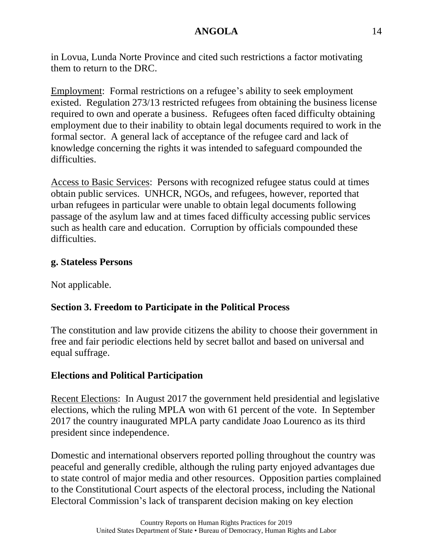in Lovua, Lunda Norte Province and cited such restrictions a factor motivating them to return to the DRC.

Employment: Formal restrictions on a refugee's ability to seek employment existed. Regulation 273/13 restricted refugees from obtaining the business license required to own and operate a business. Refugees often faced difficulty obtaining employment due to their inability to obtain legal documents required to work in the formal sector. A general lack of acceptance of the refugee card and lack of knowledge concerning the rights it was intended to safeguard compounded the difficulties.

Access to Basic Services: Persons with recognized refugee status could at times obtain public services. UNHCR, NGOs, and refugees, however, reported that urban refugees in particular were unable to obtain legal documents following passage of the asylum law and at times faced difficulty accessing public services such as health care and education. Corruption by officials compounded these difficulties.

### **g. Stateless Persons**

Not applicable.

### **Section 3. Freedom to Participate in the Political Process**

The constitution and law provide citizens the ability to choose their government in free and fair periodic elections held by secret ballot and based on universal and equal suffrage.

### **Elections and Political Participation**

Recent Elections: In August 2017 the government held presidential and legislative elections, which the ruling MPLA won with 61 percent of the vote. In September 2017 the country inaugurated MPLA party candidate Joao Lourenco as its third president since independence.

Domestic and international observers reported polling throughout the country was peaceful and generally credible, although the ruling party enjoyed advantages due to state control of major media and other resources. Opposition parties complained to the Constitutional Court aspects of the electoral process, including the National Electoral Commission's lack of transparent decision making on key election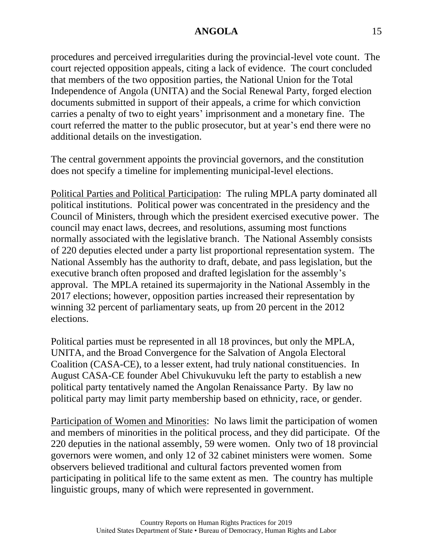procedures and perceived irregularities during the provincial-level vote count. The court rejected opposition appeals, citing a lack of evidence. The court concluded that members of the two opposition parties, the National Union for the Total Independence of Angola (UNITA) and the Social Renewal Party, forged election documents submitted in support of their appeals, a crime for which conviction carries a penalty of two to eight years' imprisonment and a monetary fine. The court referred the matter to the public prosecutor, but at year's end there were no additional details on the investigation.

The central government appoints the provincial governors, and the constitution does not specify a timeline for implementing municipal-level elections.

Political Parties and Political Participation: The ruling MPLA party dominated all political institutions. Political power was concentrated in the presidency and the Council of Ministers, through which the president exercised executive power. The council may enact laws, decrees, and resolutions, assuming most functions normally associated with the legislative branch. The National Assembly consists of 220 deputies elected under a party list proportional representation system. The National Assembly has the authority to draft, debate, and pass legislation, but the executive branch often proposed and drafted legislation for the assembly's approval. The MPLA retained its supermajority in the National Assembly in the 2017 elections; however, opposition parties increased their representation by winning 32 percent of parliamentary seats, up from 20 percent in the 2012 elections.

Political parties must be represented in all 18 provinces, but only the MPLA, UNITA, and the Broad Convergence for the Salvation of Angola Electoral Coalition (CASA-CE), to a lesser extent, had truly national constituencies. In August CASA-CE founder Abel Chivukuvuku left the party to establish a new political party tentatively named the Angolan Renaissance Party. By law no political party may limit party membership based on ethnicity, race, or gender.

Participation of Women and Minorities: No laws limit the participation of women and members of minorities in the political process, and they did participate. Of the 220 deputies in the national assembly, 59 were women. Only two of 18 provincial governors were women, and only 12 of 32 cabinet ministers were women. Some observers believed traditional and cultural factors prevented women from participating in political life to the same extent as men. The country has multiple linguistic groups, many of which were represented in government.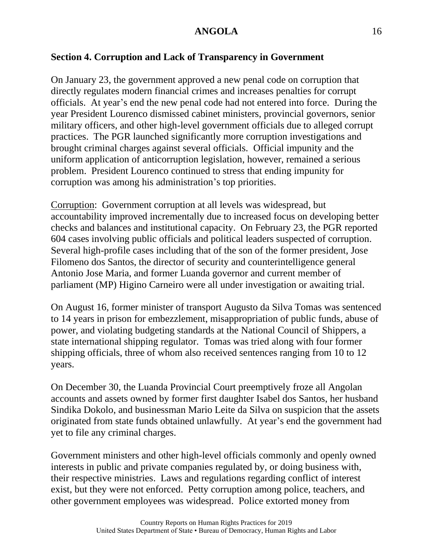## **Section 4. Corruption and Lack of Transparency in Government**

On January 23, the government approved a new penal code on corruption that directly regulates modern financial crimes and increases penalties for corrupt officials. At year's end the new penal code had not entered into force. During the year President Lourenco dismissed cabinet ministers, provincial governors, senior military officers, and other high-level government officials due to alleged corrupt practices. The PGR launched significantly more corruption investigations and brought criminal charges against several officials. Official impunity and the uniform application of anticorruption legislation, however, remained a serious problem. President Lourenco continued to stress that ending impunity for corruption was among his administration's top priorities.

Corruption: Government corruption at all levels was widespread, but accountability improved incrementally due to increased focus on developing better checks and balances and institutional capacity. On February 23, the PGR reported 604 cases involving public officials and political leaders suspected of corruption. Several high-profile cases including that of the son of the former president, Jose Filomeno dos Santos, the director of security and counterintelligence general Antonio Jose Maria, and former Luanda governor and current member of parliament (MP) Higino Carneiro were all under investigation or awaiting trial.

On August 16, former minister of transport Augusto da Silva Tomas was sentenced to 14 years in prison for embezzlement, misappropriation of public funds, abuse of power, and violating budgeting standards at the National Council of Shippers, a state international shipping regulator. Tomas was tried along with four former shipping officials, three of whom also received sentences ranging from 10 to 12 years.

On December 30, the Luanda Provincial Court preemptively froze all Angolan accounts and assets owned by former first daughter Isabel dos Santos, her husband Sindika Dokolo, and businessman Mario Leite da Silva on suspicion that the assets originated from state funds obtained unlawfully. At year's end the government had yet to file any criminal charges.

Government ministers and other high-level officials commonly and openly owned interests in public and private companies regulated by, or doing business with, their respective ministries. Laws and regulations regarding conflict of interest exist, but they were not enforced. Petty corruption among police, teachers, and other government employees was widespread. Police extorted money from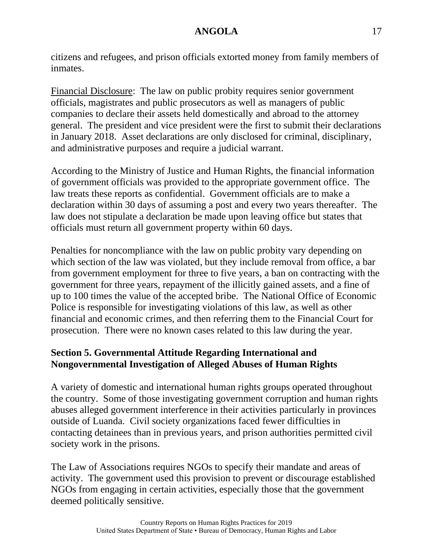citizens and refugees, and prison officials extorted money from family members of inmates.

Financial Disclosure: The law on public probity requires senior government officials, magistrates and public prosecutors as well as managers of public companies to declare their assets held domestically and abroad to the attorney general. The president and vice president were the first to submit their declarations in January 2018. Asset declarations are only disclosed for criminal, disciplinary, and administrative purposes and require a judicial warrant.

According to the Ministry of Justice and Human Rights, the financial information of government officials was provided to the appropriate government office. The law treats these reports as confidential. Government officials are to make a declaration within 30 days of assuming a post and every two years thereafter. The law does not stipulate a declaration be made upon leaving office but states that officials must return all government property within 60 days.

Penalties for noncompliance with the law on public probity vary depending on which section of the law was violated, but they include removal from office, a bar from government employment for three to five years, a ban on contracting with the government for three years, repayment of the illicitly gained assets, and a fine of up to 100 times the value of the accepted bribe. The National Office of Economic Police is responsible for investigating violations of this law, as well as other financial and economic crimes, and then referring them to the Financial Court for prosecution. There were no known cases related to this law during the year.

# **Section 5. Governmental Attitude Regarding International and Nongovernmental Investigation of Alleged Abuses of Human Rights**

A variety of domestic and international human rights groups operated throughout the country. Some of those investigating government corruption and human rights abuses alleged government interference in their activities particularly in provinces outside of Luanda. Civil society organizations faced fewer difficulties in contacting detainees than in previous years, and prison authorities permitted civil society work in the prisons.

The Law of Associations requires NGOs to specify their mandate and areas of activity. The government used this provision to prevent or discourage established NGOs from engaging in certain activities, especially those that the government deemed politically sensitive.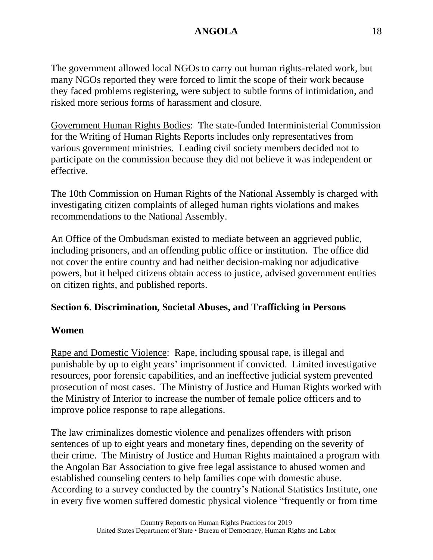The government allowed local NGOs to carry out human rights-related work, but many NGOs reported they were forced to limit the scope of their work because they faced problems registering, were subject to subtle forms of intimidation, and risked more serious forms of harassment and closure.

Government Human Rights Bodies: The state-funded Interministerial Commission for the Writing of Human Rights Reports includes only representatives from various government ministries. Leading civil society members decided not to participate on the commission because they did not believe it was independent or effective.

The 10th Commission on Human Rights of the National Assembly is charged with investigating citizen complaints of alleged human rights violations and makes recommendations to the National Assembly.

An Office of the Ombudsman existed to mediate between an aggrieved public, including prisoners, and an offending public office or institution. The office did not cover the entire country and had neither decision-making nor adjudicative powers, but it helped citizens obtain access to justice, advised government entities on citizen rights, and published reports.

### **Section 6. Discrimination, Societal Abuses, and Trafficking in Persons**

#### **Women**

Rape and Domestic Violence: Rape, including spousal rape, is illegal and punishable by up to eight years' imprisonment if convicted. Limited investigative resources, poor forensic capabilities, and an ineffective judicial system prevented prosecution of most cases. The Ministry of Justice and Human Rights worked with the Ministry of Interior to increase the number of female police officers and to improve police response to rape allegations.

The law criminalizes domestic violence and penalizes offenders with prison sentences of up to eight years and monetary fines, depending on the severity of their crime. The Ministry of Justice and Human Rights maintained a program with the Angolan Bar Association to give free legal assistance to abused women and established counseling centers to help families cope with domestic abuse. According to a survey conducted by the country's National Statistics Institute, one in every five women suffered domestic physical violence "frequently or from time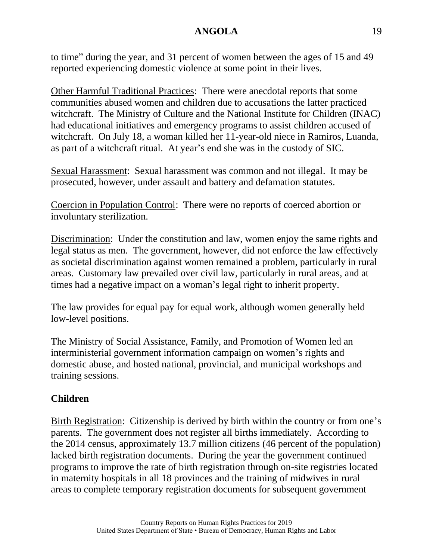to time" during the year, and 31 percent of women between the ages of 15 and 49 reported experiencing domestic violence at some point in their lives.

Other Harmful Traditional Practices: There were anecdotal reports that some communities abused women and children due to accusations the latter practiced witchcraft. The Ministry of Culture and the National Institute for Children (INAC) had educational initiatives and emergency programs to assist children accused of witchcraft. On July 18, a woman killed her 11-year-old niece in Ramiros, Luanda, as part of a witchcraft ritual. At year's end she was in the custody of SIC.

Sexual Harassment: Sexual harassment was common and not illegal. It may be prosecuted, however, under assault and battery and defamation statutes.

Coercion in Population Control: There were no reports of coerced abortion or involuntary sterilization.

Discrimination: Under the constitution and law, women enjoy the same rights and legal status as men. The government, however, did not enforce the law effectively as societal discrimination against women remained a problem, particularly in rural areas. Customary law prevailed over civil law, particularly in rural areas, and at times had a negative impact on a woman's legal right to inherit property.

The law provides for equal pay for equal work, although women generally held low-level positions.

The Ministry of Social Assistance, Family, and Promotion of Women led an interministerial government information campaign on women's rights and domestic abuse, and hosted national, provincial, and municipal workshops and training sessions.

# **Children**

Birth Registration: Citizenship is derived by birth within the country or from one's parents. The government does not register all births immediately. According to the 2014 census, approximately 13.7 million citizens (46 percent of the population) lacked birth registration documents. During the year the government continued programs to improve the rate of birth registration through on-site registries located in maternity hospitals in all 18 provinces and the training of midwives in rural areas to complete temporary registration documents for subsequent government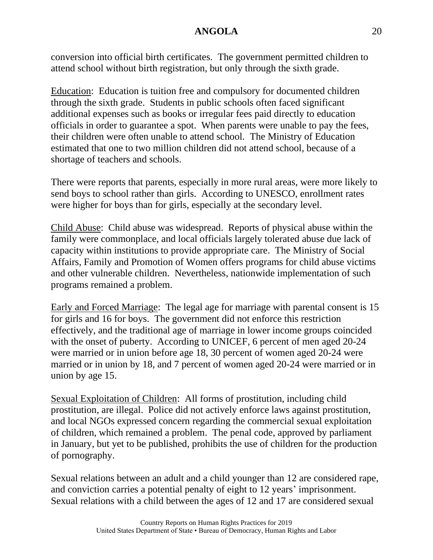conversion into official birth certificates. The government permitted children to attend school without birth registration, but only through the sixth grade.

Education: Education is tuition free and compulsory for documented children through the sixth grade. Students in public schools often faced significant additional expenses such as books or irregular fees paid directly to education officials in order to guarantee a spot. When parents were unable to pay the fees, their children were often unable to attend school. The Ministry of Education estimated that one to two million children did not attend school, because of a shortage of teachers and schools.

There were reports that parents, especially in more rural areas, were more likely to send boys to school rather than girls. According to UNESCO, enrollment rates were higher for boys than for girls, especially at the secondary level.

Child Abuse: Child abuse was widespread. Reports of physical abuse within the family were commonplace, and local officials largely tolerated abuse due lack of capacity within institutions to provide appropriate care. The Ministry of Social Affairs, Family and Promotion of Women offers programs for child abuse victims and other vulnerable children. Nevertheless, nationwide implementation of such programs remained a problem.

Early and Forced Marriage: The legal age for marriage with parental consent is 15 for girls and 16 for boys. The government did not enforce this restriction effectively, and the traditional age of marriage in lower income groups coincided with the onset of puberty. According to UNICEF, 6 percent of men aged 20-24 were married or in union before age 18, 30 percent of women aged 20-24 were married or in union by 18, and 7 percent of women aged 20-24 were married or in union by age 15.

Sexual Exploitation of Children: All forms of prostitution, including child prostitution, are illegal. Police did not actively enforce laws against prostitution, and local NGOs expressed concern regarding the commercial sexual exploitation of children, which remained a problem. The penal code, approved by parliament in January, but yet to be published, prohibits the use of children for the production of pornography.

Sexual relations between an adult and a child younger than 12 are considered rape, and conviction carries a potential penalty of eight to 12 years' imprisonment. Sexual relations with a child between the ages of 12 and 17 are considered sexual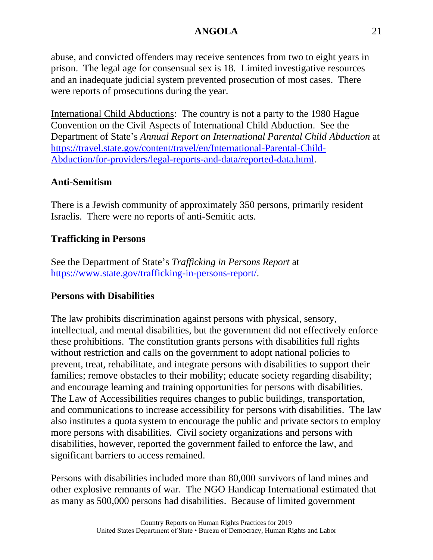abuse, and convicted offenders may receive sentences from two to eight years in prison. The legal age for consensual sex is 18. Limited investigative resources and an inadequate judicial system prevented prosecution of most cases. There were reports of prosecutions during the year.

International Child Abductions: The country is not a party to the 1980 Hague Convention on the Civil Aspects of International Child Abduction. See the Department of State's *Annual Report on International Parental Child Abduction* at [https://travel.state.gov/content/travel/en/International-Parental-Child-](https://travel.state.gov/content/travel/en/International-Parental-Child-Abduction/for-providers/legal-reports-and-data/reported-cases.html)[Abduction/for-providers/legal-reports-and-data/reported-data.html.](https://travel.state.gov/content/travel/en/International-Parental-Child-Abduction/for-providers/legal-reports-and-data/reported-cases.html)

# **Anti-Semitism**

There is a Jewish community of approximately 350 persons, primarily resident Israelis. There were no reports of anti-Semitic acts.

# **Trafficking in Persons**

See the Department of State's *Trafficking in Persons Report* at [https://www.state.gov/trafficking-in-persons-report/.](https://www.state.gov/trafficking-in-persons-report/)

### **Persons with Disabilities**

The law prohibits discrimination against persons with physical, sensory, intellectual, and mental disabilities, but the government did not effectively enforce these prohibitions. The constitution grants persons with disabilities full rights without restriction and calls on the government to adopt national policies to prevent, treat, rehabilitate, and integrate persons with disabilities to support their families; remove obstacles to their mobility; educate society regarding disability; and encourage learning and training opportunities for persons with disabilities. The Law of Accessibilities requires changes to public buildings, transportation, and communications to increase accessibility for persons with disabilities. The law also institutes a quota system to encourage the public and private sectors to employ more persons with disabilities. Civil society organizations and persons with disabilities, however, reported the government failed to enforce the law, and significant barriers to access remained.

Persons with disabilities included more than 80,000 survivors of land mines and other explosive remnants of war. The NGO Handicap International estimated that as many as 500,000 persons had disabilities. Because of limited government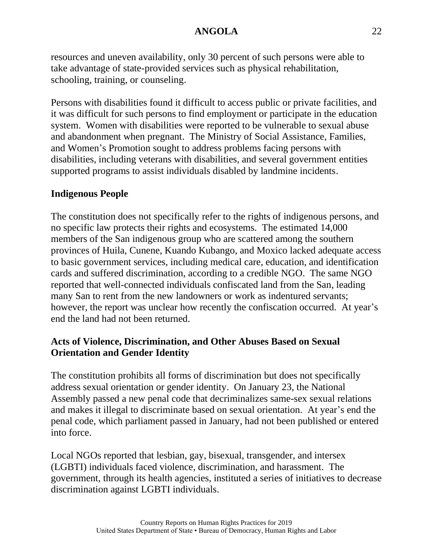resources and uneven availability, only 30 percent of such persons were able to take advantage of state-provided services such as physical rehabilitation, schooling, training, or counseling.

Persons with disabilities found it difficult to access public or private facilities, and it was difficult for such persons to find employment or participate in the education system. Women with disabilities were reported to be vulnerable to sexual abuse and abandonment when pregnant. The Ministry of Social Assistance, Families, and Women's Promotion sought to address problems facing persons with disabilities, including veterans with disabilities, and several government entities supported programs to assist individuals disabled by landmine incidents.

### **Indigenous People**

The constitution does not specifically refer to the rights of indigenous persons, and no specific law protects their rights and ecosystems. The estimated 14,000 members of the San indigenous group who are scattered among the southern provinces of Huila, Cunene, Kuando Kubango, and Moxico lacked adequate access to basic government services, including medical care, education, and identification cards and suffered discrimination, according to a credible NGO. The same NGO reported that well-connected individuals confiscated land from the San, leading many San to rent from the new landowners or work as indentured servants; however, the report was unclear how recently the confiscation occurred. At year's end the land had not been returned.

# **Acts of Violence, Discrimination, and Other Abuses Based on Sexual Orientation and Gender Identity**

The constitution prohibits all forms of discrimination but does not specifically address sexual orientation or gender identity. On January 23, the National Assembly passed a new penal code that decriminalizes same-sex sexual relations and makes it illegal to discriminate based on sexual orientation. At year's end the penal code, which parliament passed in January, had not been published or entered into force.

Local NGOs reported that lesbian, gay, bisexual, transgender, and intersex (LGBTI) individuals faced violence, discrimination, and harassment. The government, through its health agencies, instituted a series of initiatives to decrease discrimination against LGBTI individuals.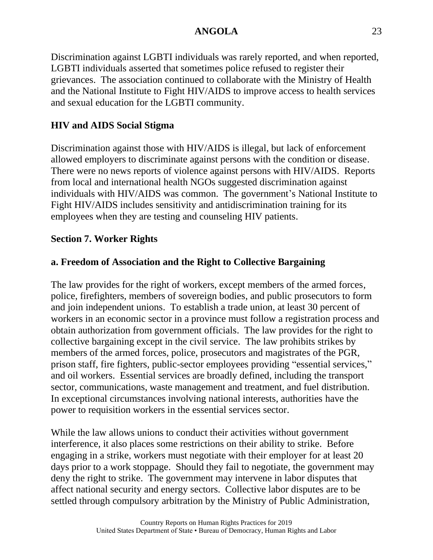Discrimination against LGBTI individuals was rarely reported, and when reported, LGBTI individuals asserted that sometimes police refused to register their grievances. The association continued to collaborate with the Ministry of Health and the National Institute to Fight HIV/AIDS to improve access to health services and sexual education for the LGBTI community.

### **HIV and AIDS Social Stigma**

Discrimination against those with HIV/AIDS is illegal, but lack of enforcement allowed employers to discriminate against persons with the condition or disease. There were no news reports of violence against persons with HIV/AIDS. Reports from local and international health NGOs suggested discrimination against individuals with HIV/AIDS was common. The government's National Institute to Fight HIV/AIDS includes sensitivity and antidiscrimination training for its employees when they are testing and counseling HIV patients.

### **Section 7. Worker Rights**

### **a. Freedom of Association and the Right to Collective Bargaining**

The law provides for the right of workers, except members of the armed forces, police, firefighters, members of sovereign bodies, and public prosecutors to form and join independent unions. To establish a trade union, at least 30 percent of workers in an economic sector in a province must follow a registration process and obtain authorization from government officials. The law provides for the right to collective bargaining except in the civil service. The law prohibits strikes by members of the armed forces, police, prosecutors and magistrates of the PGR, prison staff, fire fighters, public-sector employees providing "essential services," and oil workers. Essential services are broadly defined, including the transport sector, communications, waste management and treatment, and fuel distribution. In exceptional circumstances involving national interests, authorities have the power to requisition workers in the essential services sector.

While the law allows unions to conduct their activities without government interference, it also places some restrictions on their ability to strike. Before engaging in a strike, workers must negotiate with their employer for at least 20 days prior to a work stoppage. Should they fail to negotiate, the government may deny the right to strike. The government may intervene in labor disputes that affect national security and energy sectors. Collective labor disputes are to be settled through compulsory arbitration by the Ministry of Public Administration,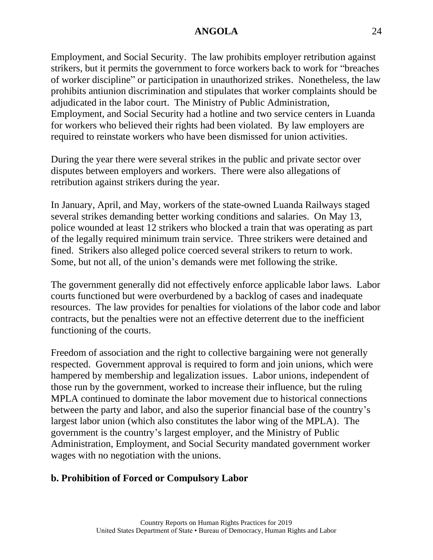Employment, and Social Security. The law prohibits employer retribution against strikers, but it permits the government to force workers back to work for "breaches of worker discipline" or participation in unauthorized strikes. Nonetheless, the law prohibits antiunion discrimination and stipulates that worker complaints should be adjudicated in the labor court. The Ministry of Public Administration, Employment, and Social Security had a hotline and two service centers in Luanda for workers who believed their rights had been violated. By law employers are required to reinstate workers who have been dismissed for union activities.

During the year there were several strikes in the public and private sector over disputes between employers and workers. There were also allegations of retribution against strikers during the year.

In January, April, and May, workers of the state-owned Luanda Railways staged several strikes demanding better working conditions and salaries. On May 13, police wounded at least 12 strikers who blocked a train that was operating as part of the legally required minimum train service. Three strikers were detained and fined. Strikers also alleged police coerced several strikers to return to work. Some, but not all, of the union's demands were met following the strike.

The government generally did not effectively enforce applicable labor laws. Labor courts functioned but were overburdened by a backlog of cases and inadequate resources. The law provides for penalties for violations of the labor code and labor contracts, but the penalties were not an effective deterrent due to the inefficient functioning of the courts.

Freedom of association and the right to collective bargaining were not generally respected. Government approval is required to form and join unions, which were hampered by membership and legalization issues. Labor unions, independent of those run by the government, worked to increase their influence, but the ruling MPLA continued to dominate the labor movement due to historical connections between the party and labor, and also the superior financial base of the country's largest labor union (which also constitutes the labor wing of the MPLA). The government is the country's largest employer, and the Ministry of Public Administration, Employment, and Social Security mandated government worker wages with no negotiation with the unions.

#### **b. Prohibition of Forced or Compulsory Labor**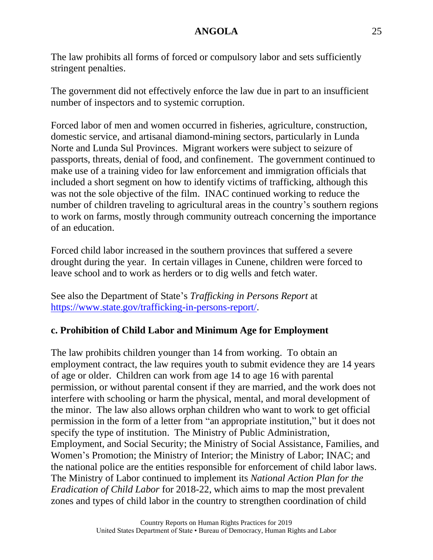The law prohibits all forms of forced or compulsory labor and sets sufficiently stringent penalties.

The government did not effectively enforce the law due in part to an insufficient number of inspectors and to systemic corruption.

Forced labor of men and women occurred in fisheries, agriculture, construction, domestic service, and artisanal diamond-mining sectors, particularly in Lunda Norte and Lunda Sul Provinces. Migrant workers were subject to seizure of passports, threats, denial of food, and confinement. The government continued to make use of a training video for law enforcement and immigration officials that included a short segment on how to identify victims of trafficking, although this was not the sole objective of the film. INAC continued working to reduce the number of children traveling to agricultural areas in the country's southern regions to work on farms, mostly through community outreach concerning the importance of an education.

Forced child labor increased in the southern provinces that suffered a severe drought during the year. In certain villages in Cunene, children were forced to leave school and to work as herders or to dig wells and fetch water.

See also the Department of State's *Trafficking in Persons Report* at [https://www.state.gov/trafficking-in-persons-report/.](https://www.state.gov/trafficking-in-persons-report/)

### **c. Prohibition of Child Labor and Minimum Age for Employment**

The law prohibits children younger than 14 from working. To obtain an employment contract, the law requires youth to submit evidence they are 14 years of age or older. Children can work from age 14 to age 16 with parental permission, or without parental consent if they are married, and the work does not interfere with schooling or harm the physical, mental, and moral development of the minor. The law also allows orphan children who want to work to get official permission in the form of a letter from "an appropriate institution," but it does not specify the type of institution. The Ministry of Public Administration, Employment, and Social Security; the Ministry of Social Assistance, Families, and Women's Promotion; the Ministry of Interior; the Ministry of Labor; INAC; and the national police are the entities responsible for enforcement of child labor laws. The Ministry of Labor continued to implement its *National Action Plan for the Eradication of Child Labor* for 2018-22, which aims to map the most prevalent zones and types of child labor in the country to strengthen coordination of child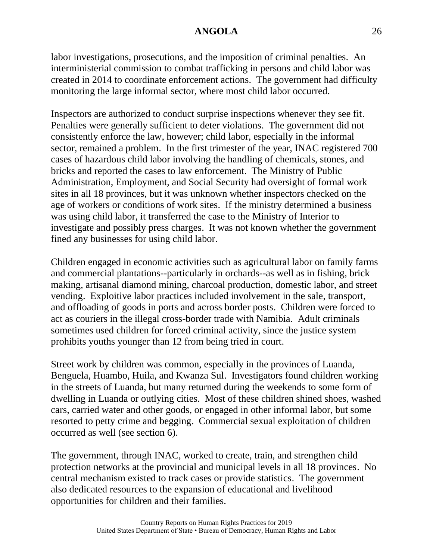labor investigations, prosecutions, and the imposition of criminal penalties. An interministerial commission to combat trafficking in persons and child labor was created in 2014 to coordinate enforcement actions. The government had difficulty monitoring the large informal sector, where most child labor occurred.

Inspectors are authorized to conduct surprise inspections whenever they see fit. Penalties were generally sufficient to deter violations. The government did not consistently enforce the law, however; child labor, especially in the informal sector, remained a problem. In the first trimester of the year, INAC registered 700 cases of hazardous child labor involving the handling of chemicals, stones, and bricks and reported the cases to law enforcement. The Ministry of Public Administration, Employment, and Social Security had oversight of formal work sites in all 18 provinces, but it was unknown whether inspectors checked on the age of workers or conditions of work sites. If the ministry determined a business was using child labor, it transferred the case to the Ministry of Interior to investigate and possibly press charges. It was not known whether the government fined any businesses for using child labor.

Children engaged in economic activities such as agricultural labor on family farms and commercial plantations--particularly in orchards--as well as in fishing, brick making, artisanal diamond mining, charcoal production, domestic labor, and street vending. Exploitive labor practices included involvement in the sale, transport, and offloading of goods in ports and across border posts. Children were forced to act as couriers in the illegal cross-border trade with Namibia. Adult criminals sometimes used children for forced criminal activity, since the justice system prohibits youths younger than 12 from being tried in court.

Street work by children was common, especially in the provinces of Luanda, Benguela, Huambo, Huila, and Kwanza Sul. Investigators found children working in the streets of Luanda, but many returned during the weekends to some form of dwelling in Luanda or outlying cities. Most of these children shined shoes, washed cars, carried water and other goods, or engaged in other informal labor, but some resorted to petty crime and begging. Commercial sexual exploitation of children occurred as well (see section 6).

The government, through INAC, worked to create, train, and strengthen child protection networks at the provincial and municipal levels in all 18 provinces. No central mechanism existed to track cases or provide statistics. The government also dedicated resources to the expansion of educational and livelihood opportunities for children and their families.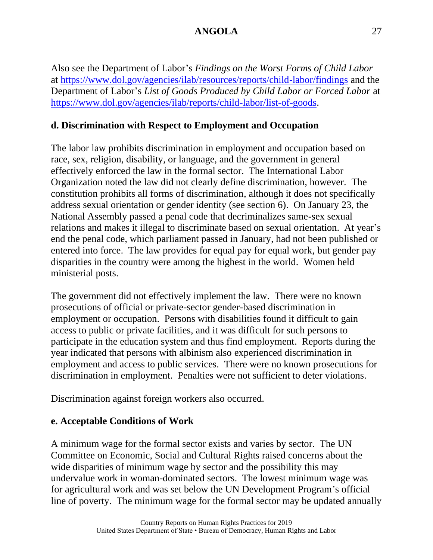Also see the Department of Labor's *Findings on the Worst Forms of Child Labor* at<https://www.dol.gov/agencies/ilab/resources/reports/child-labor/findings> and the Department of Labor's *List of Goods Produced by Child Labor or Forced Labor* at [https://www.dol.gov/agencies/ilab/reports/child-labor/list-of-goods.](https://www.dol.gov/agencies/ilab/reports/child-labor/list-of-goods)

### **d. Discrimination with Respect to Employment and Occupation**

The labor law prohibits discrimination in employment and occupation based on race, sex, religion, disability, or language, and the government in general effectively enforced the law in the formal sector. The International Labor Organization noted the law did not clearly define discrimination, however. The constitution prohibits all forms of discrimination, although it does not specifically address sexual orientation or gender identity (see section 6). On January 23, the National Assembly passed a penal code that decriminalizes same-sex sexual relations and makes it illegal to discriminate based on sexual orientation. At year's end the penal code, which parliament passed in January, had not been published or entered into force. The law provides for equal pay for equal work, but gender pay disparities in the country were among the highest in the world. Women held ministerial posts.

The government did not effectively implement the law. There were no known prosecutions of official or private-sector gender-based discrimination in employment or occupation. Persons with disabilities found it difficult to gain access to public or private facilities, and it was difficult for such persons to participate in the education system and thus find employment. Reports during the year indicated that persons with albinism also experienced discrimination in employment and access to public services. There were no known prosecutions for discrimination in employment. Penalties were not sufficient to deter violations.

Discrimination against foreign workers also occurred.

#### **e. Acceptable Conditions of Work**

A minimum wage for the formal sector exists and varies by sector. The UN Committee on Economic, Social and Cultural Rights raised concerns about the wide disparities of minimum wage by sector and the possibility this may undervalue work in woman-dominated sectors. The lowest minimum wage was for agricultural work and was set below the UN Development Program's official line of poverty. The minimum wage for the formal sector may be updated annually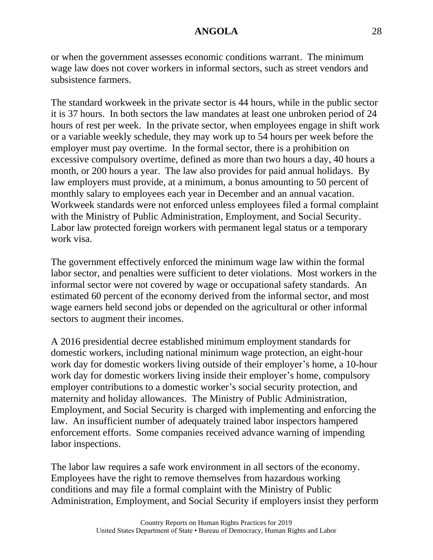or when the government assesses economic conditions warrant. The minimum wage law does not cover workers in informal sectors, such as street vendors and subsistence farmers.

The standard workweek in the private sector is 44 hours, while in the public sector it is 37 hours. In both sectors the law mandates at least one unbroken period of 24 hours of rest per week. In the private sector, when employees engage in shift work or a variable weekly schedule, they may work up to 54 hours per week before the employer must pay overtime. In the formal sector, there is a prohibition on excessive compulsory overtime, defined as more than two hours a day, 40 hours a month, or 200 hours a year. The law also provides for paid annual holidays. By law employers must provide, at a minimum, a bonus amounting to 50 percent of monthly salary to employees each year in December and an annual vacation. Workweek standards were not enforced unless employees filed a formal complaint with the Ministry of Public Administration, Employment, and Social Security. Labor law protected foreign workers with permanent legal status or a temporary work visa.

The government effectively enforced the minimum wage law within the formal labor sector, and penalties were sufficient to deter violations. Most workers in the informal sector were not covered by wage or occupational safety standards. An estimated 60 percent of the economy derived from the informal sector, and most wage earners held second jobs or depended on the agricultural or other informal sectors to augment their incomes.

A 2016 presidential decree established minimum employment standards for domestic workers, including national minimum wage protection, an eight-hour work day for domestic workers living outside of their employer's home, a 10-hour work day for domestic workers living inside their employer's home, compulsory employer contributions to a domestic worker's social security protection, and maternity and holiday allowances. The Ministry of Public Administration, Employment, and Social Security is charged with implementing and enforcing the law. An insufficient number of adequately trained labor inspectors hampered enforcement efforts. Some companies received advance warning of impending labor inspections.

The labor law requires a safe work environment in all sectors of the economy. Employees have the right to remove themselves from hazardous working conditions and may file a formal complaint with the Ministry of Public Administration, Employment, and Social Security if employers insist they perform